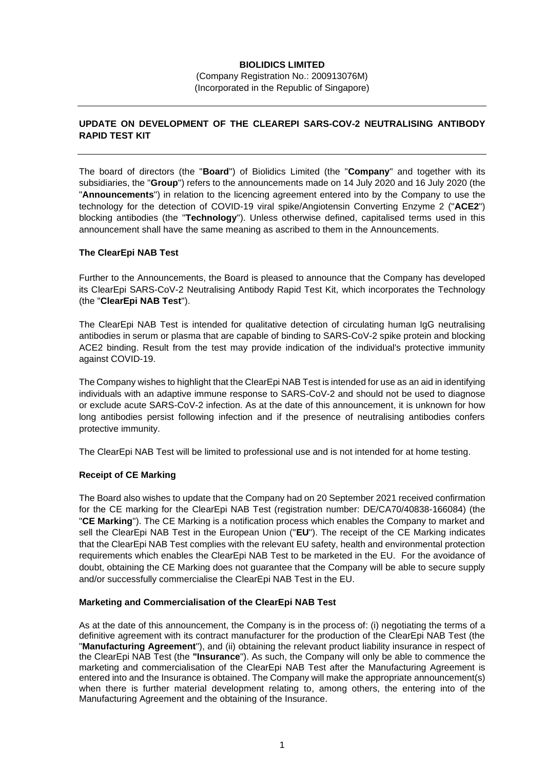# **BIOLIDICS LIMITED**

(Company Registration No.: 200913076M) (Incorporated in the Republic of Singapore)

# **UPDATE ON DEVELOPMENT OF THE CLEAREPI SARS-COV-2 NEUTRALISING ANTIBODY RAPID TEST KIT**

The board of directors (the "**Board**") of Biolidics Limited (the "**Company**" and together with its subsidiaries, the "**Group**") refers to the announcements made on 14 July 2020 and 16 July 2020 (the "**Announcements**") in relation to the licencing agreement entered into by the Company to use the technology for the detection of COVID-19 viral spike/Angiotensin Converting Enzyme 2 ("**ACE2**") blocking antibodies (the "**Technology**"). Unless otherwise defined, capitalised terms used in this announcement shall have the same meaning as ascribed to them in the Announcements.

### **The ClearEpi NAB Test**

Further to the Announcements, the Board is pleased to announce that the Company has developed its ClearEpi SARS-CoV-2 Neutralising Antibody Rapid Test Kit, which incorporates the Technology (the "**ClearEpi NAB Test**").

The ClearEpi NAB Test is intended for qualitative detection of circulating human IgG neutralising antibodies in serum or plasma that are capable of binding to SARS-CoV-2 spike protein and blocking ACE2 binding. Result from the test may provide indication of the individual's protective immunity against COVID-19.

The Company wishes to highlight that the ClearEpi NAB Test is intended for use as an aid in identifying individuals with an adaptive immune response to SARS-CoV-2 and should not be used to diagnose or exclude acute SARS-CoV-2 infection. As at the date of this announcement, it is unknown for how long antibodies persist following infection and if the presence of neutralising antibodies confers protective immunity.

The ClearEpi NAB Test will be limited to professional use and is not intended for at home testing.

## **Receipt of CE Marking**

The Board also wishes to update that the Company had on 20 September 2021 received confirmation for the CE marking for the ClearEpi NAB Test (registration number: DE/CA70/40838-166084) (the "**CE Marking**"). The CE Marking is a notification process which enables the Company to market and sell the ClearEpi NAB Test in the European Union ("**EU**"). The receipt of the CE Marking indicates that the ClearEpi NAB Test complies with the relevant EU safety, health and environmental protection requirements which enables the ClearEpi NAB Test to be marketed in the EU. For the avoidance of doubt, obtaining the CE Marking does not guarantee that the Company will be able to secure supply and/or successfully commercialise the ClearEpi NAB Test in the EU.

#### **Marketing and Commercialisation of the ClearEpi NAB Test**

As at the date of this announcement, the Company is in the process of: (i) negotiating the terms of a definitive agreement with its contract manufacturer for the production of the ClearEpi NAB Test (the "**Manufacturing Agreement**"), and (ii) obtaining the relevant product liability insurance in respect of the ClearEpi NAB Test (the **"Insurance**"). As such, the Company will only be able to commence the marketing and commercialisation of the ClearEpi NAB Test after the Manufacturing Agreement is entered into and the Insurance is obtained. The Company will make the appropriate announcement(s) when there is further material development relating to, among others, the entering into of the Manufacturing Agreement and the obtaining of the Insurance.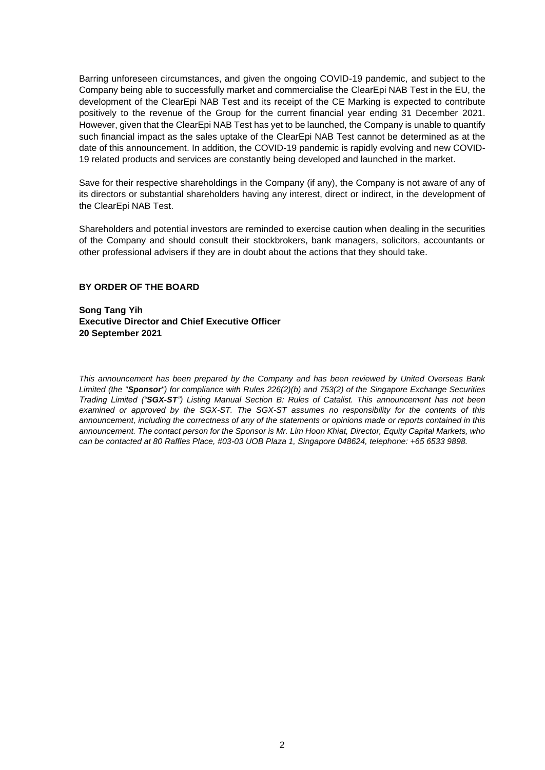Barring unforeseen circumstances, and given the ongoing COVID-19 pandemic, and subject to the Company being able to successfully market and commercialise the ClearEpi NAB Test in the EU, the development of the ClearEpi NAB Test and its receipt of the CE Marking is expected to contribute positively to the revenue of the Group for the current financial year ending 31 December 2021. However, given that the ClearEpi NAB Test has yet to be launched, the Company is unable to quantify such financial impact as the sales uptake of the ClearEpi NAB Test cannot be determined as at the date of this announcement. In addition, the COVID-19 pandemic is rapidly evolving and new COVID-19 related products and services are constantly being developed and launched in the market.

Save for their respective shareholdings in the Company (if any), the Company is not aware of any of its directors or substantial shareholders having any interest, direct or indirect, in the development of the ClearEpi NAB Test.

Shareholders and potential investors are reminded to exercise caution when dealing in the securities of the Company and should consult their stockbrokers, bank managers, solicitors, accountants or other professional advisers if they are in doubt about the actions that they should take.

### **BY ORDER OF THE BOARD**

**Song Tang Yih Executive Director and Chief Executive Officer 20 September 2021**

*This announcement has been prepared by the Company and has been reviewed by United Overseas Bank Limited (the "Sponsor") for compliance with Rules 226(2)(b) and 753(2) of the Singapore Exchange Securities Trading Limited ("SGX-ST") Listing Manual Section B: Rules of Catalist. This announcement has not been examined or approved by the SGX-ST. The SGX-ST assumes no responsibility for the contents of this announcement, including the correctness of any of the statements or opinions made or reports contained in this announcement. The contact person for the Sponsor is Mr. Lim Hoon Khiat, Director, Equity Capital Markets, who can be contacted at 80 Raffles Place, #03-03 UOB Plaza 1, Singapore 048624, telephone: +65 6533 9898.*